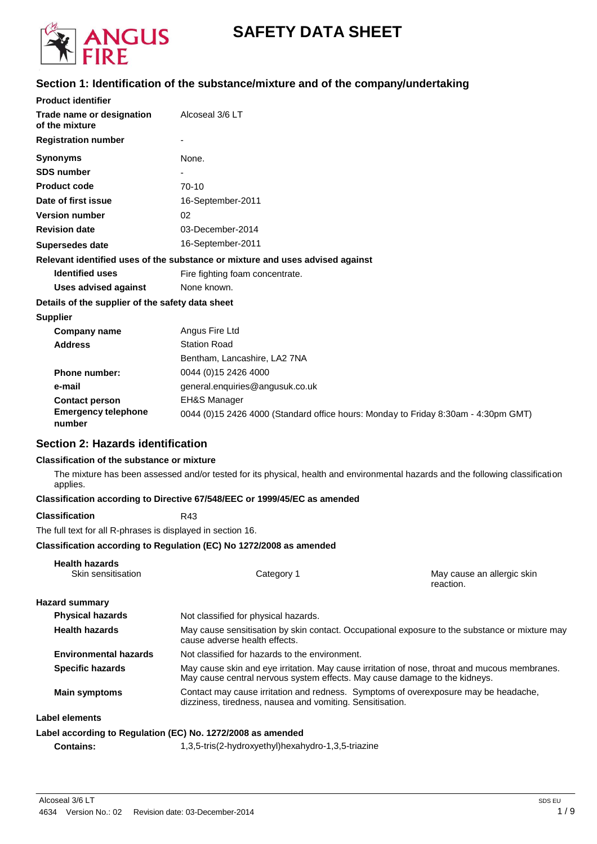

# **SAFETY DATA SHEET**

## **Section 1: Identification of the substance/mixture and of the company/undertaking**

| <b>Product identifier</b>                        |                                                                                    |
|--------------------------------------------------|------------------------------------------------------------------------------------|
| Trade name or designation<br>of the mixture      | Alcoseal 3/6 LT                                                                    |
| <b>Registration number</b>                       |                                                                                    |
| Synonyms                                         | None.                                                                              |
| <b>SDS number</b>                                |                                                                                    |
| <b>Product code</b>                              | $70-10$                                                                            |
| Date of first issue                              | 16-September-2011                                                                  |
| <b>Version number</b>                            | 02                                                                                 |
| <b>Revision date</b>                             | 03-December-2014                                                                   |
| Supersedes date                                  | 16-September-2011                                                                  |
|                                                  | Relevant identified uses of the substance or mixture and uses advised against      |
| <b>Identified uses</b>                           | Fire fighting foam concentrate.                                                    |
| <b>Uses advised against</b>                      | None known.                                                                        |
| Details of the supplier of the safety data sheet |                                                                                    |
| <b>Supplier</b>                                  |                                                                                    |
| <b>Company name</b>                              | Angus Fire Ltd                                                                     |
| <b>Address</b>                                   | <b>Station Road</b>                                                                |
|                                                  | Bentham, Lancashire, LA2 7NA                                                       |
| <b>Phone number:</b>                             | 0044 (0)15 2426 4000                                                               |
| e-mail                                           | general.enquiries@angusuk.co.uk                                                    |
| <b>Contact person</b>                            | <b>EH&amp;S Manager</b>                                                            |
| <b>Emergency telephone</b><br>number             | 0044 (0)15 2426 4000 (Standard office hours: Monday to Friday 8:30am - 4:30pm GMT) |

#### **Section 2: Hazards identification**

#### **Classification of the substance or mixture**

The mixture has been assessed and/or tested for its physical, health and environmental hazards and the following classification applies.

#### **Classification according to Directive 67/548/EEC or 1999/45/EC as amended**

**Classification** R43

**Health hazards**

The full text for all R-phrases is displayed in section 16.

#### **Classification according to Regulation (EC) No 1272/2008 as amended**

| пеаш надаюз<br>Skin sensitisation | Category 1                                                                                                                                                                  | May cause an allergic skin<br>reaction.                                                        |
|-----------------------------------|-----------------------------------------------------------------------------------------------------------------------------------------------------------------------------|------------------------------------------------------------------------------------------------|
| <b>Hazard summary</b>             |                                                                                                                                                                             |                                                                                                |
| <b>Physical hazards</b>           | Not classified for physical hazards.                                                                                                                                        |                                                                                                |
| <b>Health hazards</b>             | cause adverse health effects.                                                                                                                                               | May cause sensitisation by skin contact. Occupational exposure to the substance or mixture may |
| <b>Environmental hazards</b>      | Not classified for hazards to the environment.                                                                                                                              |                                                                                                |
| <b>Specific hazards</b>           | May cause skin and eye irritation. May cause irritation of nose, throat and mucous membranes.<br>May cause central nervous system effects. May cause damage to the kidneys. |                                                                                                |
| <b>Main symptoms</b>              | Contact may cause irritation and redness. Symptoms of overexposure may be headache,<br>dizziness, tiredness, nausea and vomiting. Sensitisation.                            |                                                                                                |
| Label elements                    |                                                                                                                                                                             |                                                                                                |
|                                   | Label according to Regulation (EC) No. 1272/2008 as amended                                                                                                                 |                                                                                                |

**Contains:** 1,3,5-tris(2-hydroxyethyl)hexahydro-1,3,5-triazine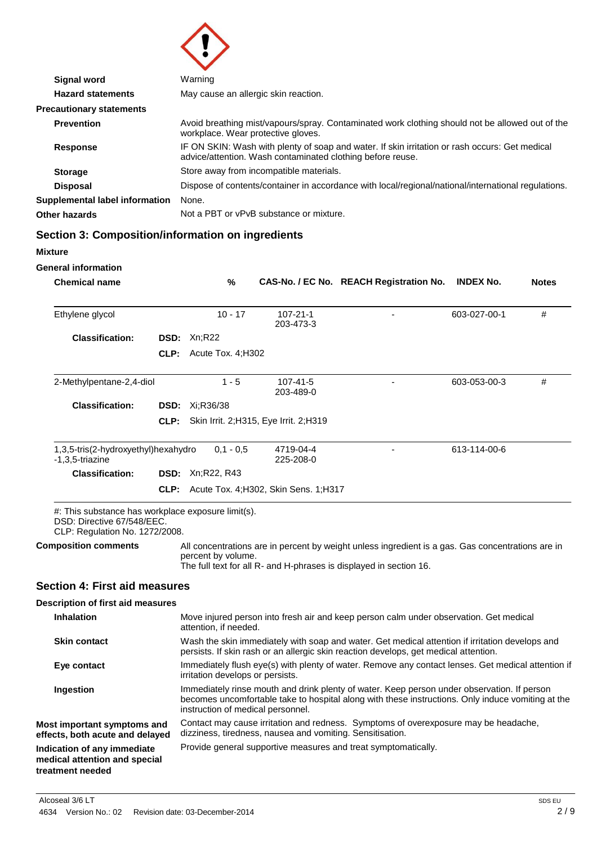

| <b>Signal word</b>              | Warning                                                                                                                                                      |
|---------------------------------|--------------------------------------------------------------------------------------------------------------------------------------------------------------|
| <b>Hazard statements</b>        | May cause an allergic skin reaction.                                                                                                                         |
| <b>Precautionary statements</b> |                                                                                                                                                              |
| <b>Prevention</b>               | Avoid breathing mist/vapours/spray. Contaminated work clothing should not be allowed out of the<br>workplace. Wear protective gloves.                        |
| Response                        | IF ON SKIN: Wash with plenty of soap and water. If skin irritation or rash occurs: Get medical<br>advice/attention. Wash contaminated clothing before reuse. |
| <b>Storage</b>                  | Store away from incompatible materials.                                                                                                                      |
| <b>Disposal</b>                 | Dispose of contents/container in accordance with local/regional/national/international regulations.                                                          |
| Supplemental label information  | None.                                                                                                                                                        |
| Other hazards                   | Not a PBT or vPvB substance or mixture.                                                                                                                      |

## **Section 3: Composition/information on ingredients**

| <b>Mixture</b>                                                                                                     |             |                    |                                         |                                                                                                                                                                         |                  |              |
|--------------------------------------------------------------------------------------------------------------------|-------------|--------------------|-----------------------------------------|-------------------------------------------------------------------------------------------------------------------------------------------------------------------------|------------------|--------------|
| <b>General information</b>                                                                                         |             |                    |                                         |                                                                                                                                                                         |                  |              |
| <b>Chemical name</b>                                                                                               |             | $\%$               |                                         | CAS-No. / EC No. REACH Registration No.                                                                                                                                 | <b>INDEX No.</b> | <b>Notes</b> |
| Ethylene glycol                                                                                                    |             | $10 - 17$          | $107 - 21 - 1$<br>203-473-3             |                                                                                                                                                                         | 603-027-00-1     | #            |
| <b>Classification:</b>                                                                                             | <b>DSD:</b> | Xn;R22             |                                         |                                                                                                                                                                         |                  |              |
|                                                                                                                    | CLP:        | Acute Tox. 4: H302 |                                         |                                                                                                                                                                         |                  |              |
| 2-Methylpentane-2,4-diol                                                                                           |             | $1 - 5$            | 107-41-5<br>203-489-0                   |                                                                                                                                                                         | 603-053-00-3     | #            |
| <b>Classification:</b>                                                                                             | DSD:        | Xi:R36/38          |                                         |                                                                                                                                                                         |                  |              |
|                                                                                                                    | CLP:        |                    | Skin Irrit. 2; H315, Eye Irrit. 2; H319 |                                                                                                                                                                         |                  |              |
| 1,3,5-tris(2-hydroxyethyl)hexahydro<br>-1,3,5-triazine                                                             |             | $0.1 - 0.5$        | 4719-04-4<br>225-208-0                  |                                                                                                                                                                         | 613-114-00-6     |              |
| <b>Classification:</b>                                                                                             | DSD:        | Xn;R22, R43        |                                         |                                                                                                                                                                         |                  |              |
|                                                                                                                    | CLP:        |                    | Acute Tox. 4; H302, Skin Sens. 1; H317  |                                                                                                                                                                         |                  |              |
| #: This substance has workplace exposure limit(s).<br>DSD: Directive 67/548/EEC.<br>CLP: Regulation No. 1272/2008. |             |                    |                                         |                                                                                                                                                                         |                  |              |
| <b>Composition comments</b>                                                                                        |             | percent by volume. |                                         | All concentrations are in percent by weight unless ingredient is a gas. Gas concentrations are in<br>The full text for all R- and H-phrases is displayed in section 16. |                  |              |
| <b>Section 4: First aid measures</b>                                                                               |             |                    |                                         |                                                                                                                                                                         |                  |              |

#### **Description of first aid measures**

| <b>Inhalation</b>                                                                | Move injured person into fresh air and keep person calm under observation. Get medical<br>attention, if needed.                                                                                                                       |
|----------------------------------------------------------------------------------|---------------------------------------------------------------------------------------------------------------------------------------------------------------------------------------------------------------------------------------|
| <b>Skin contact</b>                                                              | Wash the skin immediately with soap and water. Get medical attention if irritation develops and<br>persists. If skin rash or an allergic skin reaction develops, get medical attention.                                               |
| Eye contact                                                                      | Immediately flush eye(s) with plenty of water. Remove any contact lenses. Get medical attention if<br>irritation develops or persists.                                                                                                |
| Ingestion                                                                        | Immediately rinse mouth and drink plenty of water. Keep person under observation. If person<br>becomes uncomfortable take to hospital along with these instructions. Only induce vomiting at the<br>instruction of medical personnel. |
| Most important symptoms and<br>effects, both acute and delayed                   | Contact may cause irritation and redness. Symptoms of overexposure may be headache,<br>dizziness, tiredness, nausea and vomiting. Sensitisation.                                                                                      |
| Indication of any immediate<br>medical attention and special<br>treatment needed | Provide general supportive measures and treat symptomatically.                                                                                                                                                                        |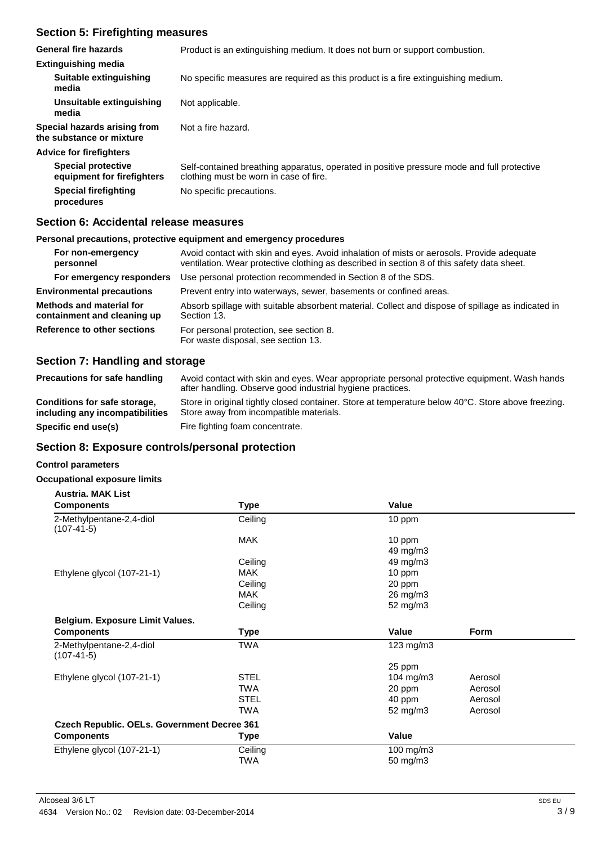### **Section 5: Firefighting measures**

| General fire hazards                                     | Product is an extinguishing medium. It does not burn or support combustion.                                                          |
|----------------------------------------------------------|--------------------------------------------------------------------------------------------------------------------------------------|
| <b>Extinguishing media</b>                               |                                                                                                                                      |
| Suitable extinguishing<br>media                          | No specific measures are required as this product is a fire extinguishing medium.                                                    |
| Unsuitable extinguishing<br>media                        | Not applicable.                                                                                                                      |
| Special hazards arising from<br>the substance or mixture | Not a fire hazard.                                                                                                                   |
| <b>Advice for firefighters</b>                           |                                                                                                                                      |
| <b>Special protective</b><br>equipment for firefighters  | Self-contained breathing apparatus, operated in positive pressure mode and full protective<br>clothing must be worn in case of fire. |
| <b>Special firefighting</b><br>procedures                | No specific precautions.                                                                                                             |

#### **Section 6: Accidental release measures**

#### **Personal precautions, protective equipment and emergency procedures**

| For non-emergency<br>personnel                                                                        | Avoid contact with skin and eyes. Avoid inhalation of mists or aerosols. Provide adequate<br>ventilation. Wear protective clothing as described in section 8 of this safety data sheet. |  |
|-------------------------------------------------------------------------------------------------------|-----------------------------------------------------------------------------------------------------------------------------------------------------------------------------------------|--|
| For emergency responders                                                                              | Use personal protection recommended in Section 8 of the SDS.                                                                                                                            |  |
| <b>Environmental precautions</b><br>Prevent entry into waterways, sewer, basements or confined areas. |                                                                                                                                                                                         |  |
| Methods and material for<br>containment and cleaning up                                               | Absorb spillage with suitable absorbent material. Collect and dispose of spillage as indicated in<br>Section 13.                                                                        |  |
| Reference to other sections                                                                           | For personal protection, see section 8.<br>For waste disposal, see section 13.                                                                                                          |  |

#### **Section 7: Handling and storage**

| <b>Precautions for safe handling</b>                            | Avoid contact with skin and eyes. Wear appropriate personal protective equipment. Wash hands<br>after handling. Observe good industrial hygiene practices. |
|-----------------------------------------------------------------|------------------------------------------------------------------------------------------------------------------------------------------------------------|
| Conditions for safe storage,<br>including any incompatibilities | Store in original tightly closed container. Store at temperature below 40°C. Store above freezing.<br>Store away from incompatible materials.              |
| Specific end use(s)                                             | Fire fighting foam concentrate.                                                                                                                            |

### **Section 8: Exposure controls/personal protection**

#### **Control parameters**

#### **Occupational exposure limits**

| <b>Austria, MAK List</b>                           |             |                |             |
|----------------------------------------------------|-------------|----------------|-------------|
| <b>Components</b>                                  | <b>Type</b> | Value          |             |
| 2-Methylpentane-2,4-diol<br>$(107-41-5)$           | Ceiling     | 10 ppm         |             |
|                                                    | <b>MAK</b>  | 10 ppm         |             |
|                                                    |             | 49 mg/m3       |             |
|                                                    | Ceiling     | 49 mg/m3       |             |
| Ethylene glycol (107-21-1)                         | <b>MAK</b>  | 10 ppm         |             |
|                                                    | Ceiling     | 20 ppm         |             |
|                                                    | <b>MAK</b>  | 26 mg/m3       |             |
|                                                    | Ceiling     | 52 mg/m3       |             |
| Belgium. Exposure Limit Values.                    |             |                |             |
| <b>Components</b>                                  | <b>Type</b> | Value          | <b>Form</b> |
| 2-Methylpentane-2,4-diol<br>$(107-41-5)$           | <b>TWA</b>  | $123$ mg/m $3$ |             |
|                                                    |             | 25 ppm         |             |
| Ethylene glycol (107-21-1)                         | <b>STEL</b> | 104 $mg/m3$    | Aerosol     |
|                                                    | <b>TWA</b>  | 20 ppm         | Aerosol     |
|                                                    | <b>STEL</b> | 40 ppm         | Aerosol     |
|                                                    | <b>TWA</b>  | 52 mg/m3       | Aerosol     |
| <b>Czech Republic. OELs. Government Decree 361</b> |             |                |             |
| <b>Components</b>                                  | <b>Type</b> | Value          |             |
| Ethylene glycol (107-21-1)                         | Ceiling     | 100 mg/m3      |             |
|                                                    | <b>TWA</b>  | 50 mg/m3       |             |
|                                                    |             |                |             |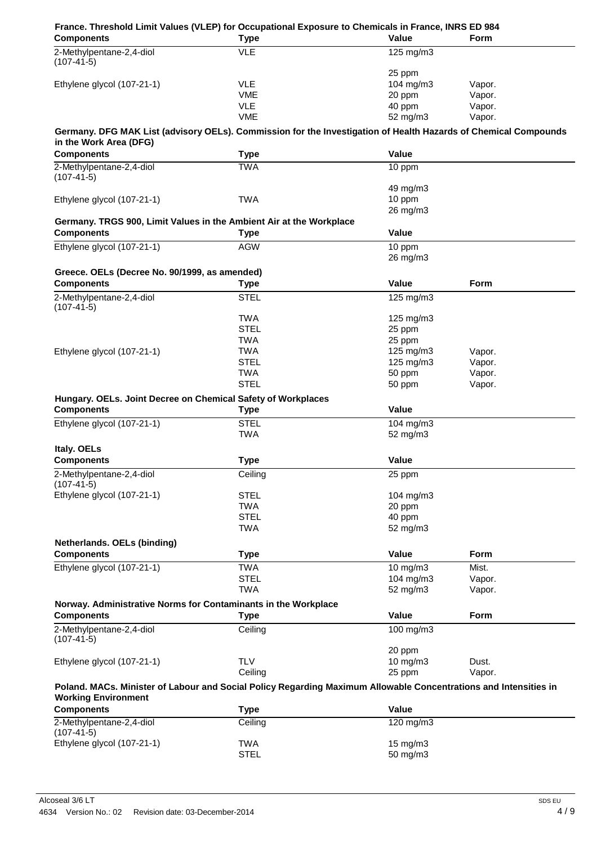| France. Threshold Limit Values (VLEP) for Occupational Exposure to Chemicals in France, INRS ED 984<br><b>Components</b> | <b>Type</b>               | Value                | <b>Form</b> |
|--------------------------------------------------------------------------------------------------------------------------|---------------------------|----------------------|-------------|
| 2-Methylpentane-2,4-diol                                                                                                 | <b>VLE</b>                | 125 mg/m3            |             |
| $(107-41-5)$                                                                                                             |                           |                      |             |
|                                                                                                                          |                           | 25 ppm               |             |
| Ethylene glycol (107-21-1)                                                                                               | <b>VLE</b>                | 104 $mg/m3$          | Vapor.      |
|                                                                                                                          | <b>VME</b>                | 20 ppm               | Vapor.      |
|                                                                                                                          | <b>VLE</b>                | 40 ppm               | Vapor.      |
|                                                                                                                          | <b>VME</b>                | 52 mg/m3             | Vapor.      |
| Germany. DFG MAK List (advisory OELs). Commission for the Investigation of Health Hazards of Chemical Compounds          |                           |                      |             |
| in the Work Area (DFG)                                                                                                   |                           |                      |             |
| <b>Components</b>                                                                                                        | <b>Type</b>               | Value                |             |
| 2-Methylpentane-2,4-diol                                                                                                 | <b>TWA</b>                | 10 ppm               |             |
| $(107-41-5)$                                                                                                             |                           |                      |             |
|                                                                                                                          |                           | 49 mg/m3             |             |
| Ethylene glycol (107-21-1)                                                                                               | <b>TWA</b>                | 10 ppm               |             |
|                                                                                                                          |                           | 26 mg/m3             |             |
| Germany. TRGS 900, Limit Values in the Ambient Air at the Workplace                                                      |                           |                      |             |
| <b>Components</b>                                                                                                        | Type                      | Value                |             |
| Ethylene glycol (107-21-1)                                                                                               | <b>AGW</b>                | 10 ppm               |             |
|                                                                                                                          |                           | 26 mg/m3             |             |
|                                                                                                                          |                           |                      |             |
| Greece. OELs (Decree No. 90/1999, as amended)                                                                            |                           |                      |             |
| <b>Components</b>                                                                                                        | <b>Type</b>               | <b>Value</b>         | Form        |
| 2-Methylpentane-2,4-diol                                                                                                 | <b>STEL</b>               | $125 \text{ mg/m}$ 3 |             |
| $(107-41-5)$                                                                                                             |                           |                      |             |
|                                                                                                                          | <b>TWA</b>                | $125$ mg/m $3$       |             |
|                                                                                                                          | <b>STEL</b>               | 25 ppm               |             |
|                                                                                                                          | <b>TWA</b>                | 25 ppm               |             |
| Ethylene glycol (107-21-1)                                                                                               | <b>TWA</b>                | 125 mg/m3            | Vapor.      |
|                                                                                                                          | <b>STEL</b>               | 125 mg/m3            | Vapor.      |
|                                                                                                                          | <b>TWA</b><br><b>STEL</b> | 50 ppm               | Vapor.      |
|                                                                                                                          |                           | 50 ppm               | Vapor.      |
| Hungary. OELs. Joint Decree on Chemical Safety of Workplaces                                                             |                           |                      |             |
| <b>Components</b>                                                                                                        | Type                      | Value                |             |
| Ethylene glycol (107-21-1)                                                                                               | <b>STEL</b>               | 104 mg/m3            |             |
|                                                                                                                          | <b>TWA</b>                | 52 mg/m3             |             |
| Italy. OELs                                                                                                              |                           |                      |             |
| <b>Components</b>                                                                                                        | <b>Type</b>               | Value                |             |
| 2-Methylpentane-2,4-diol                                                                                                 | Ceiling                   | 25 ppm               |             |
| $(107-41-5)$                                                                                                             |                           |                      |             |
| Ethylene glycol (107-21-1)                                                                                               | <b>STEL</b>               | $104$ mg/m $3$       |             |
|                                                                                                                          | <b>TWA</b>                | 20 ppm               |             |
|                                                                                                                          | <b>STEL</b>               | 40 ppm               |             |
|                                                                                                                          | <b>TWA</b>                | 52 mg/m3             |             |
| Netherlands. OELs (binding)                                                                                              |                           |                      |             |
| <b>Components</b>                                                                                                        | <b>Type</b>               | Value                | <b>Form</b> |
| Ethylene glycol (107-21-1)                                                                                               | <b>TWA</b>                | 10 mg/m3             | Mist.       |
|                                                                                                                          | <b>STEL</b>               | 104 mg/m3            | Vapor.      |
|                                                                                                                          | <b>TWA</b>                | 52 mg/m3             | Vapor.      |
|                                                                                                                          |                           |                      |             |
| Norway. Administrative Norms for Contaminants in the Workplace                                                           |                           |                      |             |
| <b>Components</b>                                                                                                        | <b>Type</b>               | Value                | <b>Form</b> |
| 2-Methylpentane-2,4-diol                                                                                                 | Ceiling                   | 100 mg/m3            |             |
| $(107-41-5)$                                                                                                             |                           |                      |             |
|                                                                                                                          |                           | 20 ppm               |             |
| Ethylene glycol (107-21-1)                                                                                               | <b>TLV</b>                | 10 mg/m3             | Dust.       |
|                                                                                                                          | Ceiling                   | 25 ppm               | Vapor.      |
| Poland. MACs. Minister of Labour and Social Policy Regarding Maximum Allowable Concentrations and Intensities in         |                           |                      |             |
| <b>Working Environment</b>                                                                                               |                           |                      |             |
| <b>Components</b>                                                                                                        | <b>Type</b>               | Value                |             |
| 2-Methylpentane-2,4-diol                                                                                                 | Ceiling                   | 120 mg/m3            |             |
| $(107-41-5)$                                                                                                             |                           |                      |             |
| Ethylene glycol (107-21-1)                                                                                               | TWA                       | 15 mg/m3             |             |
|                                                                                                                          | <b>STEL</b>               | 50 mg/m3             |             |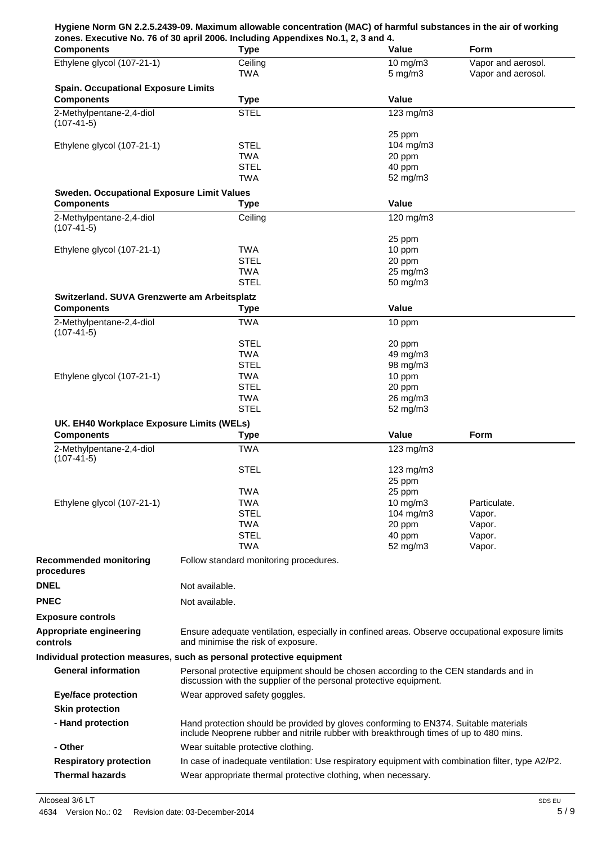#### **Hygiene Norm GN 2.2.5.2439-09. Maximum allowable concentration (MAC) of harmful substances in the air of working zones. Executive No. 76 of 30 april 2006. Including Appendixes No.1, 2, 3 and 4.**

| <b>Components</b>                                 | <b>Type</b>                                                                                       | <b>Value</b>       | <b>Form</b>        |
|---------------------------------------------------|---------------------------------------------------------------------------------------------------|--------------------|--------------------|
| Ethylene glycol (107-21-1)                        | Ceiling                                                                                           | $10$ mg/m $3$      | Vapor and aerosol. |
|                                                   | <b>TWA</b>                                                                                        | $5$ mg/m $3$       | Vapor and aerosol. |
| <b>Spain. Occupational Exposure Limits</b>        |                                                                                                   |                    |                    |
| <b>Components</b>                                 | <b>Type</b>                                                                                       | Value              |                    |
| 2-Methylpentane-2,4-diol                          | <b>STEL</b>                                                                                       | 123 mg/m3          |                    |
| $(107-41-5)$                                      |                                                                                                   |                    |                    |
|                                                   |                                                                                                   | 25 ppm             |                    |
| Ethylene glycol (107-21-1)                        | <b>STEL</b>                                                                                       | 104 mg/m3          |                    |
|                                                   | <b>TWA</b>                                                                                        | 20 ppm             |                    |
|                                                   | <b>STEL</b><br><b>TWA</b>                                                                         | 40 ppm<br>52 mg/m3 |                    |
|                                                   |                                                                                                   |                    |                    |
| <b>Sweden. Occupational Exposure Limit Values</b> |                                                                                                   | Value              |                    |
| <b>Components</b>                                 | <b>Type</b>                                                                                       |                    |                    |
| 2-Methylpentane-2,4-diol<br>$(107-41-5)$          | Ceiling                                                                                           | 120 mg/m3          |                    |
|                                                   |                                                                                                   | 25 ppm             |                    |
| Ethylene glycol (107-21-1)                        | <b>TWA</b>                                                                                        | 10 ppm             |                    |
|                                                   | <b>STEL</b>                                                                                       | 20 ppm             |                    |
|                                                   | <b>TWA</b>                                                                                        | 25 mg/m3           |                    |
|                                                   | <b>STEL</b>                                                                                       | 50 mg/m3           |                    |
| Switzerland. SUVA Grenzwerte am Arbeitsplatz      |                                                                                                   |                    |                    |
| <b>Components</b>                                 | <b>Type</b>                                                                                       | Value              |                    |
| 2-Methylpentane-2,4-diol                          | <b>TWA</b>                                                                                        | 10 ppm             |                    |
| $(107-41-5)$                                      |                                                                                                   |                    |                    |
|                                                   | <b>STEL</b>                                                                                       | 20 ppm             |                    |
|                                                   | <b>TWA</b>                                                                                        | 49 mg/m3           |                    |
|                                                   | <b>STEL</b>                                                                                       | 98 mg/m3           |                    |
| Ethylene glycol (107-21-1)                        | <b>TWA</b>                                                                                        | 10 ppm             |                    |
|                                                   | <b>STEL</b><br><b>TWA</b>                                                                         | 20 ppm<br>26 mg/m3 |                    |
|                                                   | <b>STEL</b>                                                                                       | 52 mg/m3           |                    |
| UK. EH40 Workplace Exposure Limits (WELs)         |                                                                                                   |                    |                    |
| <b>Components</b>                                 | <b>Type</b>                                                                                       | Value              | Form               |
| 2-Methylpentane-2,4-diol                          | <b>TWA</b>                                                                                        | 123 mg/m3          |                    |
| $(107-41-5)$                                      |                                                                                                   |                    |                    |
|                                                   | <b>STEL</b>                                                                                       | 123 mg/m3          |                    |
|                                                   |                                                                                                   | 25 ppm             |                    |
|                                                   | <b>TWA</b>                                                                                        | 25 ppm             |                    |
| Ethylene glycol (107-21-1)                        | <b>TWA</b>                                                                                        | $10 \text{ mg/m}$  | Particulate.       |
|                                                   | <b>STEL</b>                                                                                       | 104 mg/m3          | Vapor.             |
|                                                   | TWA<br><b>STEL</b>                                                                                | 20 ppm<br>40 ppm   | Vapor.<br>Vapor.   |
|                                                   | <b>TWA</b>                                                                                        | 52 mg/m3           | Vapor.             |
| <b>Recommended monitoring</b>                     | Follow standard monitoring procedures.                                                            |                    |                    |
| procedures                                        |                                                                                                   |                    |                    |
| <b>DNEL</b>                                       | Not available.                                                                                    |                    |                    |
|                                                   |                                                                                                   |                    |                    |
| <b>PNEC</b>                                       | Not available.                                                                                    |                    |                    |
| <b>Exposure controls</b>                          |                                                                                                   |                    |                    |
| <b>Appropriate engineering</b>                    | Ensure adequate ventilation, especially in confined areas. Observe occupational exposure limits   |                    |                    |
| controls                                          | and minimise the risk of exposure.                                                                |                    |                    |
|                                                   | Individual protection measures, such as personal protective equipment                             |                    |                    |
| <b>General information</b>                        | Personal protective equipment should be chosen according to the CEN standards and in              |                    |                    |
|                                                   | discussion with the supplier of the personal protective equipment.                                |                    |                    |
| <b>Eye/face protection</b>                        | Wear approved safety goggles.                                                                     |                    |                    |
| <b>Skin protection</b>                            |                                                                                                   |                    |                    |
|                                                   | Hand protection should be provided by gloves conforming to EN374. Suitable materials              |                    |                    |
| - Hand protection                                 | include Neoprene rubber and nitrile rubber with breakthrough times of up to 480 mins.             |                    |                    |
| - Other                                           | Wear suitable protective clothing.                                                                |                    |                    |
|                                                   |                                                                                                   |                    |                    |
| <b>Respiratory protection</b>                     | In case of inadequate ventilation: Use respiratory equipment with combination filter, type A2/P2. |                    |                    |
| <b>Thermal hazards</b>                            | Wear appropriate thermal protective clothing, when necessary.                                     |                    |                    |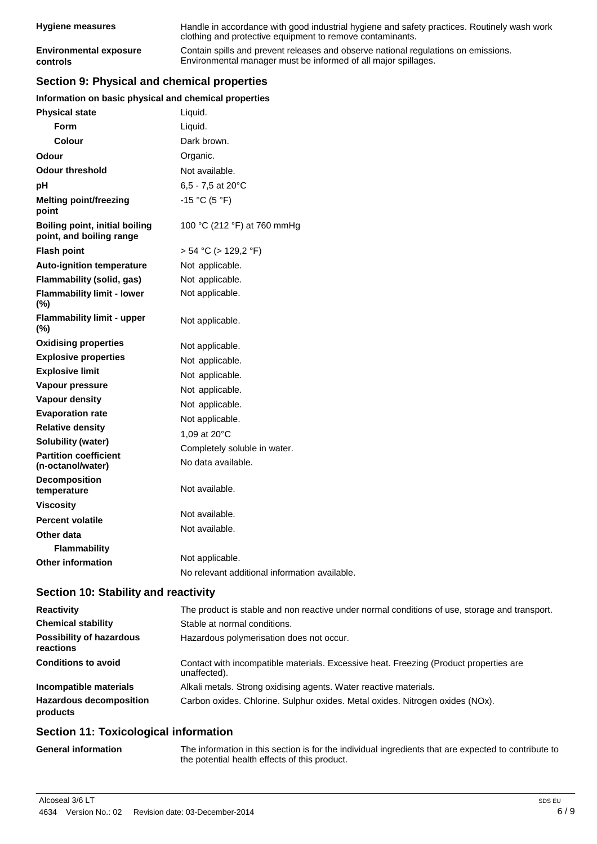| <b>Hygiene measures</b>       | Handle in accordance with good industrial hygiene and safety practices. Routinely wash work<br>clothing and protective equipment to remove contaminants. |
|-------------------------------|----------------------------------------------------------------------------------------------------------------------------------------------------------|
| <b>Environmental exposure</b> | Contain spills and prevent releases and observe national regulations on emissions.                                                                       |
| controls                      | Environmental manager must be informed of all major spillages.                                                                                           |

## **Section 9: Physical and chemical properties**

#### **Information on basic physical and chemical properties**

| <b>Physical state</b>                                             | Liquid.                                       |
|-------------------------------------------------------------------|-----------------------------------------------|
| Form                                                              | Liquid.                                       |
| <b>Colour</b>                                                     | Dark brown.                                   |
| <b>Odour</b>                                                      | Organic.                                      |
| <b>Odour threshold</b>                                            | Not available.                                |
| рH                                                                | $6,5 - 7,5$ at 20 $^{\circ}$ C                |
| <b>Melting point/freezing</b><br>point                            | $-15 °C (5 °F)$                               |
| <b>Boiling point, initial boiling</b><br>point, and boiling range | 100 °C (212 °F) at 760 mmHg                   |
| <b>Flash point</b>                                                | $> 54$ °C ( $> 129,2$ °F)                     |
| <b>Auto-ignition temperature</b>                                  | Not applicable.                               |
| Flammability (solid, gas)                                         | Not applicable.                               |
| <b>Flammability limit - lower</b><br>(%)                          | Not applicable.                               |
| <b>Flammability limit - upper</b><br>(%)                          | Not applicable.                               |
| <b>Oxidising properties</b>                                       | Not applicable.                               |
| <b>Explosive properties</b>                                       | Not applicable.                               |
| <b>Explosive limit</b>                                            | Not applicable.                               |
| Vapour pressure                                                   | Not applicable.                               |
| <b>Vapour density</b>                                             | Not applicable.                               |
| <b>Evaporation rate</b>                                           | Not applicable.                               |
| <b>Relative density</b>                                           | 1,09 at 20°C                                  |
| <b>Solubility (water)</b>                                         | Completely soluble in water.                  |
| <b>Partition coefficient</b><br>(n-octanol/water)                 | No data available.                            |
| Decomposition<br>temperature                                      | Not available.                                |
| <b>Viscosity</b>                                                  |                                               |
| <b>Percent volatile</b>                                           | Not available.                                |
| Other data                                                        | Not available.                                |
| <b>Flammability</b>                                               |                                               |
| <b>Other information</b>                                          | Not applicable.                               |
|                                                                   | No relevant additional information available. |

## **Section 10: Stability and reactivity**

| <b>Reactivity</b>                            | The product is stable and non reactive under normal conditions of use, storage and transport.         |
|----------------------------------------------|-------------------------------------------------------------------------------------------------------|
| <b>Chemical stability</b>                    | Stable at normal conditions.                                                                          |
| <b>Possibility of hazardous</b><br>reactions | Hazardous polymerisation does not occur.                                                              |
| <b>Conditions to avoid</b>                   | Contact with incompatible materials. Excessive heat. Freezing (Product properties are<br>unaffected). |
| Incompatible materials                       | Alkali metals. Strong oxidising agents. Water reactive materials.                                     |
| <b>Hazardous decomposition</b><br>products   | Carbon oxides. Chlorine. Sulphur oxides. Metal oxides. Nitrogen oxides (NOx).                         |

## **Section 11: Toxicological information**

| <b>General information</b> | The information in this section is for the individual ingredients that are expected to contribute to |
|----------------------------|------------------------------------------------------------------------------------------------------|
|                            | the potential health effects of this product.                                                        |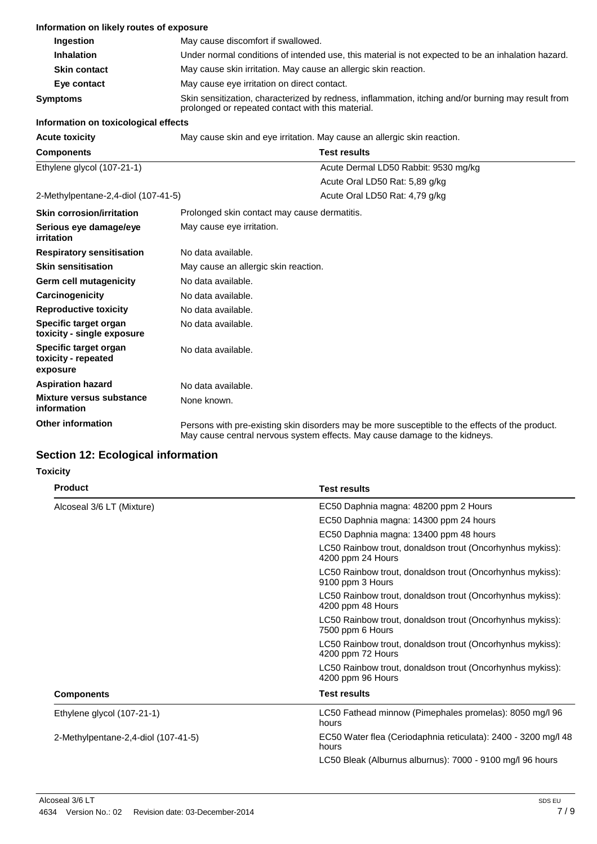| Information on likely routes of exposure                 |                                                                                                                                                         |                                      |
|----------------------------------------------------------|---------------------------------------------------------------------------------------------------------------------------------------------------------|--------------------------------------|
| Ingestion                                                | May cause discomfort if swallowed.                                                                                                                      |                                      |
| <b>Inhalation</b>                                        | Under normal conditions of intended use, this material is not expected to be an inhalation hazard.                                                      |                                      |
| <b>Skin contact</b>                                      | May cause skin irritation. May cause an allergic skin reaction.                                                                                         |                                      |
| Eye contact                                              | May cause eye irritation on direct contact.                                                                                                             |                                      |
| <b>Symptoms</b>                                          | Skin sensitization, characterized by redness, inflammation, itching and/or burning may result from<br>prolonged or repeated contact with this material. |                                      |
| Information on toxicological effects                     |                                                                                                                                                         |                                      |
| <b>Acute toxicity</b>                                    | May cause skin and eye irritation. May cause an allergic skin reaction.                                                                                 |                                      |
| <b>Components</b>                                        | <b>Test results</b>                                                                                                                                     |                                      |
| Ethylene glycol (107-21-1)                               |                                                                                                                                                         | Acute Dermal LD50 Rabbit: 9530 mg/kg |
|                                                          |                                                                                                                                                         | Acute Oral LD50 Rat: 5,89 g/kg       |
| 2-Methylpentane-2,4-diol (107-41-5)                      |                                                                                                                                                         | Acute Oral LD50 Rat: 4,79 g/kg       |
| <b>Skin corrosion/irritation</b>                         | Prolonged skin contact may cause dermatitis.                                                                                                            |                                      |
| Serious eye damage/eye<br><i>irritation</i>              | May cause eye irritation.                                                                                                                               |                                      |
| <b>Respiratory sensitisation</b>                         | No data available.                                                                                                                                      |                                      |
| <b>Skin sensitisation</b>                                | May cause an allergic skin reaction.                                                                                                                    |                                      |
| <b>Germ cell mutagenicity</b>                            | No data available.                                                                                                                                      |                                      |
| Carcinogenicity                                          | No data available.                                                                                                                                      |                                      |
| <b>Reproductive toxicity</b>                             | No data available.                                                                                                                                      |                                      |
| Specific target organ<br>toxicity - single exposure      | No data available.                                                                                                                                      |                                      |
| Specific target organ<br>toxicity - repeated<br>exposure | No data available.                                                                                                                                      |                                      |
| <b>Aspiration hazard</b>                                 | No data available.                                                                                                                                      |                                      |
| <b>Mixture versus substance</b><br>information           | None known.                                                                                                                                             |                                      |

**Section 12: Ecological information**

#### **Toxicity**

**Other information**

| <b>Product</b>                      | <b>Test results</b>                                                            |
|-------------------------------------|--------------------------------------------------------------------------------|
| Alcoseal 3/6 LT (Mixture)           | EC50 Daphnia magna: 48200 ppm 2 Hours                                          |
|                                     | EC50 Daphnia magna: 14300 ppm 24 hours                                         |
|                                     | EC50 Daphnia magna: 13400 ppm 48 hours                                         |
|                                     | LC50 Rainbow trout, donaldson trout (Oncorhynhus mykiss):<br>4200 ppm 24 Hours |
|                                     | LC50 Rainbow trout, donaldson trout (Oncorhynhus mykiss):<br>9100 ppm 3 Hours  |
|                                     | LC50 Rainbow trout, donaldson trout (Oncorhynhus mykiss):<br>4200 ppm 48 Hours |
|                                     | LC50 Rainbow trout, donaldson trout (Oncorhynhus mykiss):<br>7500 ppm 6 Hours  |
|                                     | LC50 Rainbow trout, donaldson trout (Oncorhynhus mykiss):<br>4200 ppm 72 Hours |
|                                     | LC50 Rainbow trout, donaldson trout (Oncorhynhus mykiss):<br>4200 ppm 96 Hours |
| <b>Components</b>                   | <b>Test results</b>                                                            |
| Ethylene glycol (107-21-1)          | LC50 Fathead minnow (Pimephales promelas): 8050 mg/l 96<br>hours               |
| 2-Methylpentane-2,4-diol (107-41-5) | EC50 Water flea (Ceriodaphnia reticulata): 2400 - 3200 mg/l 48<br>hours        |
|                                     | LC50 Bleak (Alburnus alburnus): 7000 - 9100 mg/l 96 hours                      |

Persons with pre-existing skin disorders may be more susceptible to the effects of the product.

May cause central nervous system effects. May cause damage to the kidneys.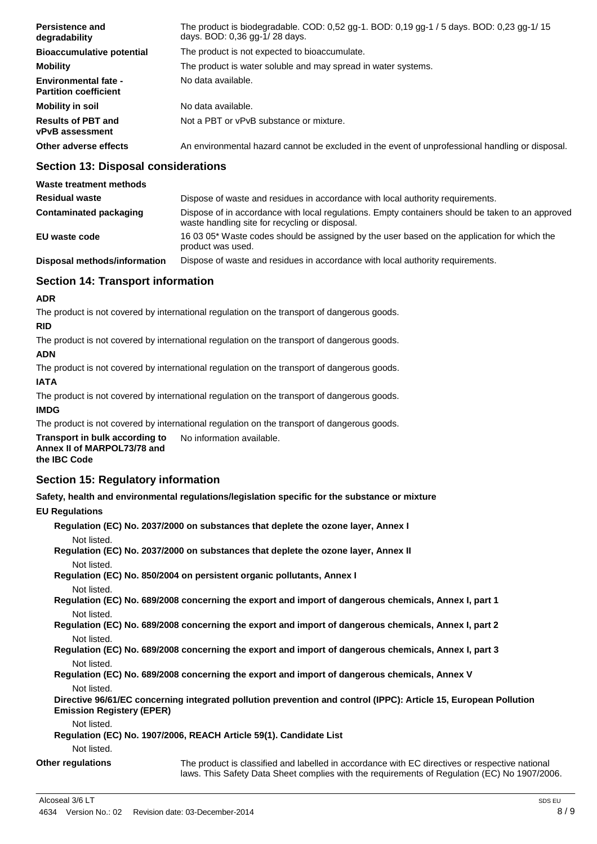| Persistence and<br>degradability                            | The product is biodegradable. COD: 0,52 gg-1. BOD: 0,19 gg-1 / 5 days. BOD: 0,23 gg-1/ 15<br>days. BOD: 0,36 gg-1/28 days. |
|-------------------------------------------------------------|----------------------------------------------------------------------------------------------------------------------------|
| <b>Bioaccumulative potential</b>                            | The product is not expected to bioaccumulate.                                                                              |
| <b>Mobility</b>                                             | The product is water soluble and may spread in water systems.                                                              |
| <b>Environmental fate -</b><br><b>Partition coefficient</b> | No data available.                                                                                                         |
| Mobility in soil                                            | No data available.                                                                                                         |
| <b>Results of PBT and</b><br><b>vPvB</b> assessment         | Not a PBT or vPvB substance or mixture.                                                                                    |
| Other adverse effects                                       | An environmental hazard cannot be excluded in the event of unprofessional handling or disposal.                            |

#### **Section 13: Disposal considerations**

| Waste treatment methods       |                                                                                                                                                    |
|-------------------------------|----------------------------------------------------------------------------------------------------------------------------------------------------|
| <b>Residual waste</b>         | Dispose of waste and residues in accordance with local authority requirements.                                                                     |
| <b>Contaminated packaging</b> | Dispose of in accordance with local regulations. Empty containers should be taken to an approved<br>waste handling site for recycling or disposal. |
| EU waste code                 | 16 03 05* Waste codes should be assigned by the user based on the application for which the<br>product was used.                                   |
| Disposal methods/information  | Dispose of waste and residues in accordance with local authority requirements.                                                                     |

#### **Section 14: Transport information**

#### **ADR**

The product is not covered by international regulation on the transport of dangerous goods.

#### **RID**

The product is not covered by international regulation on the transport of dangerous goods.

#### **ADN**

The product is not covered by international regulation on the transport of dangerous goods.

#### **IATA**

The product is not covered by international regulation on the transport of dangerous goods.

#### **IMDG**

The product is not covered by international regulation on the transport of dangerous goods.

**Transport in bulk according to Annex II of MARPOL73/78 and**  No information available.

#### **the IBC Code**

### **Section 15: Regulatory information**

**Safety, health and environmental regulations/legislation specific for the substance or mixture**

#### **EU Regulations**

**Regulation (EC) No. 2037/2000 on substances that deplete the ozone layer, Annex I**

Not listed.

**Regulation (EC) No. 2037/2000 on substances that deplete the ozone layer, Annex II** Not listed.

**Regulation (EC) No. 850/2004 on persistent organic pollutants, Annex I** Not listed.

**Regulation (EC) No. 689/2008 concerning the export and import of dangerous chemicals, Annex I, part 1** Not listed.

**Regulation (EC) No. 689/2008 concerning the export and import of dangerous chemicals, Annex I, part 2** Not listed.

**Regulation (EC) No. 689/2008 concerning the export and import of dangerous chemicals, Annex I, part 3** Not listed.

**Regulation (EC) No. 689/2008 concerning the export and import of dangerous chemicals, Annex V** Not listed.

**Directive 96/61/EC concerning integrated pollution prevention and control (IPPC): Article 15, European Pollution Emission Registery (EPER)**

Not listed.

**Regulation (EC) No. 1907/2006, REACH Article 59(1). Candidate List** Not listed.

**Other regulations** The product is classified and labelled in accordance with EC directives or respective national laws. This Safety Data Sheet complies with the requirements of Regulation (EC) No 1907/2006.